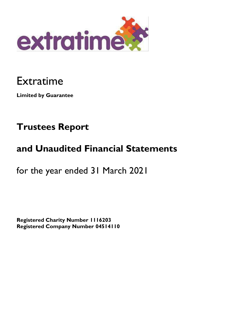

# Extratime

**Limited by Guarantee** 

# **Trustees Report**

# **and Unaudited Financial Statements**

for the year ended 31 March 2021

**Registered Charity Number 1116203 Registered Company Number 04514110**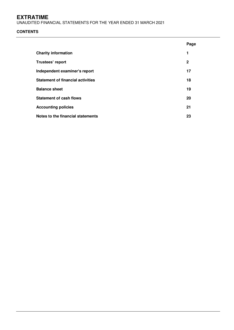UNAUDITED FINANCIAL STATEMENTS FOR THE YEAR ENDED 31 MARCH 2021

# **CONTENTS**

|                                          | Page         |
|------------------------------------------|--------------|
| <b>Charity information</b>               | 1            |
| Trustees' report                         | $\mathbf{2}$ |
| Independent examiner's report            | 17           |
| <b>Statement of financial activities</b> | 18           |
| <b>Balance sheet</b>                     | 19           |
| <b>Statement of cash flows</b>           | 20           |
| <b>Accounting policies</b>               | 21           |
| Notes to the financial statements        | 23           |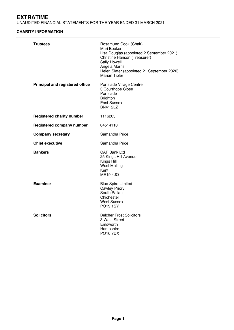UNAUDITED FINANCIAL STATEMENTS FOR THE YEAR ENDED 31 MARCH 2021

# **CHARITY INFORMATION**

| Trustees                         | Rosamund Cook (Chair)<br>Mari Booker<br>Lisa Douglas (appointed 2 September 2021)<br>Christine Hanson (Treasurer)<br>Sally Howell<br>Angela Morris<br>Helen Slater (appointed 21 September 2020)<br>Marian Tipler |
|----------------------------------|-------------------------------------------------------------------------------------------------------------------------------------------------------------------------------------------------------------------|
| Principal and registered office  | Portslade Village Centre<br>3 Courthope Close<br>Portslade<br><b>Brighton</b><br><b>East Sussex</b><br><b>BN41 2LZ</b>                                                                                            |
| <b>Registered charity number</b> | 1116203                                                                                                                                                                                                           |
| Registered company number        | 04514110                                                                                                                                                                                                          |
| <b>Company secretary</b>         | Samantha Price                                                                                                                                                                                                    |
| <b>Chief executive</b>           | Samantha Price                                                                                                                                                                                                    |
| <b>Bankers</b>                   | <b>CAF Bank Ltd</b><br>25 Kings Hill Avenue<br>Kings Hill<br><b>West Malling</b><br>Kent<br><b>ME19 4JQ</b>                                                                                                       |
| <b>Examiner</b>                  | <b>Blue Spire Limited</b><br><b>Cawley Priory</b><br>South Pallant<br>Chichester<br><b>West Sussex</b><br><b>PO19 1SY</b>                                                                                         |
| <b>Solicitors</b>                | <b>Belcher Frost Solicitors</b><br>3 West Street<br>Emsworth<br>Hampshire<br><b>PO10 7DX</b>                                                                                                                      |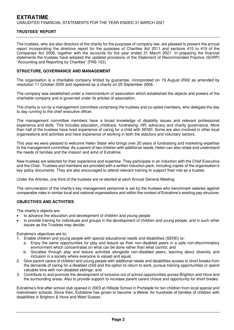The trustees, who are also directors of the charity for the purposes of company law, are pleased to present the annual report incorporating the directors report for the purposes of Charities Act 2011 and sections 415 to 419 of the Companies Act 2006, together with the accounts for the year ended 31 March 2021. In preparing the financial statements the trustees have adopted the updated provisions of the Statement of Recommended Practice (SORP) "Accounting and Reporting by Charities" (FRS 102).

## **STRUCTURE, GOVERNANCE AND MANAGEMENT**

The organisation is a charitable company limited by guarantee, incorporated on 19 August 2002 as amended by resolution 11 October 2005 and registered as a charity on 25 September 2006.

The company was established under a memorandum of association which established the objects and powers of the charitable company and is governed under its articles of association.

The charity is run by a management committee comprising the trustees and co-opted members, who delegate the day to day running to the chief executive officer.

The management committee members have a broad knowledge of disability issues and relevant professional experience and skills. This includes education, childcare, fundraising, HR, advocacy and charity governance. More than half of the trustees have lived experience of caring for a child with SEND. Some are also involved in other local organisations and activities and have experience of working in both the statutory and voluntary sectors.

This year we were pleased to welcome Helen Slater who brings over 20 years of fundraising and marketing expertise to the management committee. As a parent of two children with additional needs, Helen can also relate and understand the needs of families and the mission and aims of Extratime.

New trustees are selected for their experience and expertise. They participate in an induction with the Chief Executive and the Chair. Trustees and members are provided with a written induction pack, including copies of the organisation's key policy documents. They are also encouraged to attend relevant training to support their role as a trustee.

Under the Articles, one third of the trustees are re-elected at each Annual General Meeting.

The remuneration of the charity's key management personnel is set by the trustees who benchmark salaries against comparable roles in similar local and national organisations and within the context of Extratime's existing pay structure.

## **OBJECTIVES AND ACTIVITIES**

The charity's objects are:

- to advance the education and development of children and young people
- to provide training for individuals and groups in the development of children and young people, and in such other issues as the Trustees may decide.

Extratime's objectives are to;

- 1. Enable children and young people with special educational needs and disabilities (SEND) to:
	- a. Enjoy the same opportunities for play and leisure as their non-disabled peers in a safe non-discriminatory environment which concentrates on what can be done rather than what cannot; and
	- b. Socialise through play and leisure activities alongside non-disabled peers; learning about diversity and inclusion in a society where everyone is valued and equal.
- 2. Give parent carers of children and young people with additional needs and disabilities access to short breaks from the demands of caring for a disabled child and the option to return to work, pursue training opportunities or spend valuable time with non-disabled siblings; and
- 3. Contribute to and promote the development of inclusive out of school opportunities across Brighton and Hove and the surrounding areas. Also to provide support to increase parent carers choice and opportunity for short breaks.

Extratime's first after school club opened in 2003 at Hillside School in Portslade for ten children from local special and mainstream schools. Since then, Extratime has grown to become 'a lifeline' for hundreds of families of children with disabilities in Brighton & Hove and West Sussex.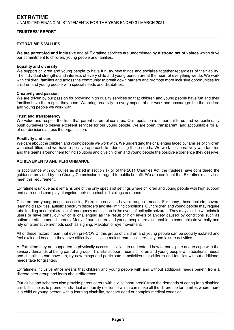#### **EXTRATIME'S VALUES**

**We are parent-led and inclusive** and all Extratime services are underpinned by a **strong set of values** which drive our commitment to children, young people and families.

#### **Equality and diversity**

We support children and young people to have fun, try new things and socialise together regardless of their ability. The individual strengths and interests of every child and young person are at the heart of everything we do. We work with children, families and across the community to break down barriers and promote more inclusive opportunities for children and young people with special needs and disabilities.

#### **Creativity and passion**

We are driven by our passion for providing high quality services so that children and young people have fun and their families have the respite they need. We bring creativity to every aspect of our work and encourage it in the children and young people we work with.

#### **Trust and transparency**

We value and respect the trust that parent carers place in us. Our reputation is important to us and we continually push ourselves to deliver excellent services for our young people. We are open, transparent, and accountable for all of our decisions across the organisation.

#### **Positivity and care**

We care about the children and young people we work with. We understand the challenges faced by families of children with disabilities and we have a positive approach to addressing those needs. We work collaboratively with families and the teams around them to find solutions and give children and young people the positive experience they deserve.

#### **ACHIEVEMENTS AND PERFORMANCE**

In accordance with our duties as stated in section 17(5) of the 2011 Charities Act, the trustees have considered the guidance provided by the Charity Commission in regard to public benefit. We are confident that Extratime's activities meet this requirement.

Extratime is unique as it remains one of the only specialist settings where children and young people with high support and care needs can play alongside their non-disabled siblings and peers.

Children and young people accessing Extratime services have a range of needs. For many, these include; severe learning disabilities, autistic spectrum disorders and life-limiting conditions. Our children and young people may require tube feeding or administration of emergency medication in the event of epileptic seizures. They may also be wheelchair users or have behaviour which is challenging as the result of high levels of anxiety caused by conditions such as autism or attachment disorders. Many of our children and young people are also unable to communicate verbally and rely on alternative methods such as signing, Makaton or eye movement.

All of these factors mean that even pre-COVID, this group of children and young people can be socially isolated and feel excluded because they have difficulty accessing mainstream childcare, play and leisure activities.

At Extratime they are supported to physically access activities, to understand how to participate and to cope with the sensory demands of being part of a group. This vital support means children and young people with additional needs and disabilities can have fun, try new things and participate in activities that children and families without additional needs take for granted.

Extratime's inclusive ethos means that children and young people with and without additional needs benefit from a diverse peer group and learn about difference.

Our clubs and schemes also provide parent carers with a vital 'short break' from the demands of caring for a disabled child. This helps to promote individual and family resilience which can make all the difference for families where there is a child or young person with a learning disability, sensory need or complex medical condition.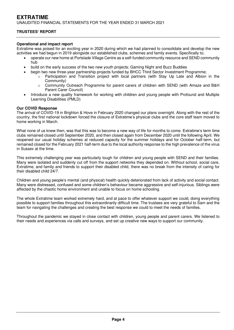#### **Operational and impact report**

Extratime was poised for an exciting year in 2020 during which we had planned to consolidate and develop the new activities we had begun in 2019 alongside our established clubs, schemes and family events. Specifically to;

- operate our new home at Portslade Village Centre as a self-funded community resource and SEND community hub
- build on the early success of the two new youth projects; Gaming Night and Buzz Buddies
	- begin two new three-year partnership projects funded by BHCC Third Sector Investment Programme;
		- Participation and Transition project with local partners (with Stay Up Late and Albion in the Community)
		- o Community Outreach Programme for parent carers of children with SEND (with Amaze and B&H Parent Carer Council)
- Introduce a new quality framework for working with children and young people with Profound and Multiple Learning Disabilities (PMLD)

#### **Our COVID Response**

The arrival of COVID-19 in Brighton & Hove in February 2020 changed our plans overnight. Along with the rest of the country, the first national lockdown forced the closure of Extratime's physical clubs and the core staff team moved to home working in March.

What none of us knew then, was that this was to become a new way of life for months to come. Extratime's term time clubs remained closed until September 2020, and then closed again from December 2020 until the following April. We reopened our usual holiday schemes at reduced capacity for the summer holidays and for October half-term, but remained closed for the February 2021 half-term due to the local authority response to the high prevalence of the virus in Sussex at the time.

This extremely challenging year was particularly tough for children and young people with SEND and their families. Many were isolated and suddenly cut off from the support networks they depended on. Without school, social care, Extratime, and family and friends to support their disabled child, there was no break from the intensity of caring for their disabled child 24/7.

Children and young people's mental (and physical) health quickly deteriorated from lack of activity and social contact. Many were distressed, confused and some children's behaviour became aggressive and self-injurious. Siblings were affected by the chaotic home environment and unable to focus on home schooling.

The whole Extratime team worked extremely hard, and at pace to offer whatever support we could, doing everything possible to support families throughout this extraordinarily difficult time. The trustees are very grateful to Sam and the team for navigating the challenges and creating the best response we could to meet the needs of families.

Throughout the pandemic we stayed in close contact with children, young people and parent carers. We listened to their needs and experiences via calls and surveys, and set up creative new ways to support our community.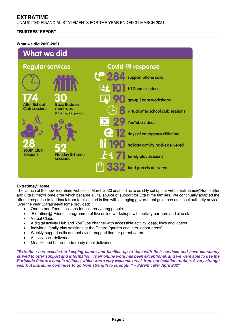UNAUDITED FINANCIAL STATEMENTS FOR THE YEAR ENDED 31 MARCH 2021

# **TRUSTEES' REPORT**

### **What we did 2020-2021**



## **Extratime@Home**

The launch of the new Extratime website in March 2020 enabled us to quickly set up our virtual Extratime@Home offer and Extratime@Home offer which became a vital source of support for Extratime families. We continually adapted the offer in response to feedback from families and in line with changing government guidance and local authority advice. Over the year Extratime@Home provided;

- One to one Zoom sessions for children/young people
- 'Extratime@ Friends' programme of live online workshops with activity partners and club staff
- Virtual Clubs
- A digital activity Hub and YouTube channel with accessible activity ideas, links and videos
- Individual family play sessions at the Centre (garden and later indoor areas)
- Weekly support calls and behaviour support line for parent carers
- Activity pack deliveries
- Meal kit and home-made ready meal deliveries

*"Extratime has excelled at keeping carers and families up to date with their services and have constantly*  **strived to offer support and information. Their online work has been exceptional, and we were able to use the Portslade Centre a couple of times, which was a very welcome break from our isolation routine. A very strange**  *year but Extratime continues to go from strength to strength." –* **Parent carer April 2021**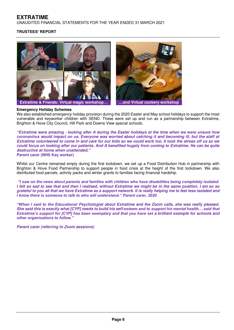UNAUDITED FINANCIAL STATEMENTS FOR THE YEAR ENDED 31 MARCH 2021

## **TRUSTEES' REPORT**







#### **Emergency Holiday Schemes**

We also established emergency holiday provision during the 2020 Easter and May school holidays to support the most vulnerable and keyworker children with SEND. These were set up and run as a partnership between Extratime, Brighton & Hove City Council, Hill Park and Downs View special schools.

*"***Extratime were amazing - looking after A during the Easter holidays at the time when we were unsure how coronavirus would impact on us. Everyone was worried about catching it and becoming ill, but the staff at Extratime volunteered to come in and care for our kids so we could work too. It took the stress off us so we could focus on looking after our patients. And A benefited hugely from coming to Extratime. He can be quite destructive at home when unattended.***"* **Parent carer (NHS Key worker)** 

Whilst our Centre remained empty during the first lockdown, we set up a Food Distribution Hub in partnership with Brighton & Hove Food Partnership to support people in food crisis at the height of the first lockdown. We also distributed food parcels, activity packs and winter grants to families facing financial hardship.

*"I saw on the news about parents and families with children who have disabilities being completely isolated.*  **I felt so sad to see that and then I realised, without Extratime we might be in the same position. I am so so grateful to you all that we have Extratime as a support network. It is really helping me to feel less isolated and**  *I know there is someone to talk to who will understand." Parent carer, 2020*

*"When I said to the Educational* **Psychologist about Extratime and the Zoom calls, she was really pleased. She said this is exactly what [CYP] needs to build his self-***esteem and to support his mental health.…said that Extratime's support for [CYP] has been exemplary and that you have set a brilliant example for schools and other organisations to follow."* 

**Parent carer (referring to Zoom sessions)**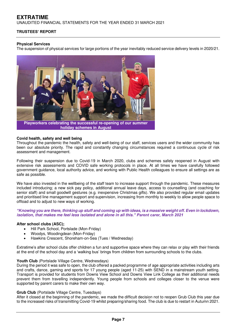UNAUDITED FINANCIAL STATEMENTS FOR THE YEAR ENDED 31 MARCH 2021

# **TRUSTEES' REPORT**

### **Physical Services**

The suspension of physical services for large portions of the year inevitably reduced service delivery levels in 2020/21.



**Playworkers celebrating the successful re-opening of our summer holiday schemes in August** 

#### **Covid health, safety and well being**

Throughout the pandemic the health, safety and well-being of our staff, services users and the wider community has been our absolute priority. The rapid and constantly changing circumstances required a continuous cycle of risk assessment and management.

Following their suspension due to Covid-19 in March 2020, clubs and schemes safely reopened in August with extensive risk assessments and COVID safe working protocols in place. At all times we have carefully followed government guidance, local authority advice, and working with Public Health colleagues to ensure all settings are as safe as possible.

We have also invested in the wellbeing of the staff team to increase support through the pandemic. These measures included introducing; a new sick pay policy, additional annual leave days, access to counselling (and coaching for senior staff) and small goodwill gestures (e.g. inexpensive Christmas gifts). We also provided regular email updates and prioritised line management support and supervision, increasing from monthly to weekly to allow people space to offload and to adjust to new ways of working.

*"K***nowing you are there, thinking up stuff and coming up with ideas, is a massive weight off. Even in lockdown, isolation, that makes me feel less isolated and alone in all this.***" Parent carer, March 2021*

## **After school clubs (ASC);**

- Hill Park School, Portslade (Mon-Friday)
- Woodys, Woodingdean (Mon-Friday)
- Hawkins Crescent, Shoreham-on-Sea (Tues / Wednesday)

Extratime's after school clubs offer children a fun and supportive space where they can relax or play with their friends at the end of the school day and a 'walking bus' brings from children from surrounding schools to the clubs.

#### Youth Club (Portslade Village Centre, Wednesdays)

During the period it was safe to open, the club offered a packed programme of age appropriate activities including arts and crafts, dance, gaming and sports for 17 young people (aged 11-25) with SEND in a mainstream youth setting. Transport is provided for students from Downs View School and Downs View Link College as their additional needs prevent them from travelling independently. Young people from schools and colleges closer to the venue were supported by parent carers to make their own way.

#### **Grub Club** (Portslade Village Centre, Tuesdays)

After it closed at the beginning of the pandemic, we made the difficult decision not to reopen Grub Club this year due to the increased risks of transmitting Covid-19 whilst preparing/sharing food. The club is due to restart in Autumn 2021.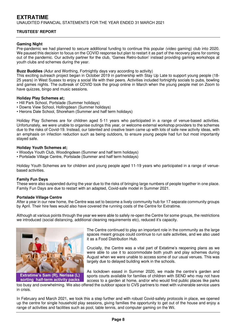# **EXTRATIME**  UNAUDITED FINANCIAL STATEMENTS FOR THE YEAR ENDED 31 MARCH 2021

# **TRUSTEES' REPORT**

### **Gaming Night**

Pre-pandemic we had planned to secure additional funding to continue this popular (video gaming) club into 2020. We paused this decision to focus on the COVID response but plan to restart it as part of the recovery plans for coming out of the pandemic. Our activity partner for the club, 'Games Retro-bution' instead providing gaming workshops at youth clubs and schemes during the year.

#### **Buzz Buddies** (Adur and Worthing, Fortnightly days vary according to activity)

This exciting outreach project began in October 2019 in partnership with Stay Up Late to support young people (18- 25 years) in West Sussex to enjoy a social life with their peers. Activities included fortnightly socials to pubs, bowling and games nights. The outbreak of COVID took the group online in March when the young people met on Zoom to have quizzes, bingo and music sessions.

#### **Holiday Play Schemes at;**

- Hill Park School, Portslade (Summer holidays)
- Downs View School, Hollingdean (Summer holidays)
- Herons Dale School, Shoreham (Summer and half term holidays)

Holiday Play Schemes are for children aged 5-11 years who participated in a range of venue-based activities. Unfortunately, we were unable to organise outings this year, or welcome external workshop providers to the schemes due to the risks of Covid-19. Instead, our talented and creative team came up with lots of safe new activity ideas, with an emphasis on infection reduction such as being outdoors, to ensure young people had fun but most importantly stayed safe.

#### **Holiday Youth Schemes at;**

- Woodys Youth Club, Woodingdean (Summer and half term holidays)
- Portslade Village Centre, Portslade (Summer and half term holidays)

Holiday Youth Schemes are for children and young people aged 11-19 years who participated in a range of venuebased activities.

## **Family Fun Days**

These were also suspended during the year due to the risks of bringing large numbers of people together in one place. Family Fun Days are due to restart with an adapted, Covid-safe model in Summer 2021.

#### **Portslade Village Centre**

After a year in our new home, the Centre was set to become a lively community hub for 17 separate community groups by April. Their hire fees would also have covered the running costs of the Centre for Extratime.

Although at various points through the year we were able to safely re-open the Centre for some groups, the restrictions we introduced (social distancing, additional cleaning requirements etc), reduced it's capacity.



The Centre continued to play an important role in the community as the large spaces meant groups could continue to run safe activities, and we also used it as a Food Distribution Hub.

Crucially, the Centre was a vital part of Extatime's reopening plans as we were able to use it to accommodate both youth and play schemes during August when we were unable to access some of our usual venues. This was largely due to delayed building work in the schools.

As lockdown eased in Summer 2020, we made the centre's garden and sports courts available for families of children with SEND who may not have access to a garden at home, and/or who would find public places like parks

too busy and overwhelming. We also offered the outdoor space to CVS partners to meet with vulnerable service users in crisis. **sorting half-term activity packs** 

In February and March 2021, we took this a step further and with robust Covid-safety protocols in place, we opened up the centre for single household play sessions, giving families the opportunity to get out of the house and enjoy a range of activities and facilities such as pool, table tennis, and computer gaming on the Wii.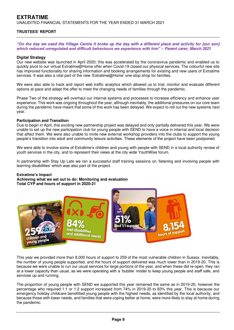UNAUDITED FINANCIAL STATEMENTS FOR THE YEAR ENDED 31 MARCH 2021

# **TRUSTEES' REPORT**

#### *"On the d***ay we used the Village Centre it broke up the day with a different place and activity for [our son]**  *which reduced unregulated and difficult behaviours we experience with him" –* **Parent carer, March 2021**

#### **Digital Strategy**

Our new website was launched in April 2020; this was accelerated by the coronavirus pandemic and enabled us to quickly pivot to our virtual Extratime@Home offer when Covid-19 closed our physical services. The colourful new site has improved functionality for sharing information and booking arrangements for existing and new users of Extratime services. It was also a vital part of the new 'Extratime@Home' one-stop shop for families.

We were also able to track and report web traffic analytics which allowed us to trial, monitor and evaluate different options at pace and adapt the offer to meet the changing needs of families through the pandemic.

Phase Two of the strategy will overhaul our internal systems and processes to increase efficiency and enhance user experience. This work was ongoing throughout the year, although inevitably, the additional pressures on our core team during the pandemic have meant that some of this work has been delayed. We expect to roll out the new systems next year.

#### **Participation and Transition**

Due to begin in April, this exciting new partnership project was delayed and only partially delivered this year. We were unable to set up the new participation club for young people with SEND to have a voice in internal and local decision that affect them. We were also unable to invite new external workshop providers into the clubs to support the young people's transition into adult and community leisure activities. These elements of the project have been postponed.

We were able to involve some of Extratime's children and young with people with SEND in a local authority review of youth services in the city, and to represent their views at the city wide YouthWise forum.

In partnership with Stay Up Late we ran a successful staff training sessions on 'listening and involving people with learning disabilities' which was also part of the project.

#### **Extratime's Impact**

**Achieving what we set out to do: Monitoring and evaluation Total CYP and hours of support in 2020-21** 



This year we provided more than 8,000 hours of support to 259 of the most vulnerable children in Sussex. Inevitably, the number of young people supported, and the hours of support delivered was much lower than in 2019-20. This is because we were unable to run our usual services for large portions of the year, and when these did re-open, they ran at a lower capacity than usual, as we were operating with a 'bubble' model to keep young people and staff safe, and services up and running.

The proportion of young people with SEND we supported this year remained the same as in 2019-20, however the percentage who required 1:1 or 1:2 support increased from 74% in 2019-20 to 83% this year. This is because our emergency holiday childcare benefitted young people with the highest needs, as identified by the local authority, and because those with lower needs, and families that were coping better at home, were more likely to stay at home during the pandemic.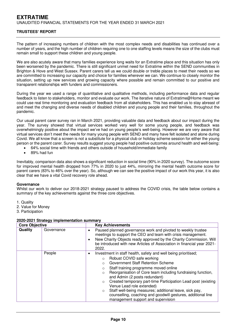# **EXTRATIME**  UNAUDITED FINANCIAL STATEMENTS FOR THE YEAR ENDED 31 MARCH 2021

# **TRUSTEES' REPORT**

The pattern of increasing numbers of children with the most complex needs and disabilities has continued over a number of years, and the high number of children requiring one to one staffing levels means the size of the clubs must remain small to support these children and young people.

We are also acutely aware that many families experience long waits for an Extratime place and this situation has only been worsened by the pandemic. There is still significant unmet need for Extratime within the SEND communities in Brighton & Hove and West Sussex. Parent carers tell us we could double or treble places to meet their needs so we are committed to increasing our capacity and choice for families wherever we can. We continue to closely monitor the situation, setting up new services and growing capacity where possible and remain committed to our positive and transparent relationships with funders and commissioners.

During the year we used a range of quantitative and qualitative methods, including performance data and regular feedback to listen to stakeholders, monitor and evaluate our work. The iterative nature of Extratime@Home meant we could use real time monitoring and evaluation feedback from all stakeholders. This has enabled us to stay abreast of and meet the changing and diverse needs of disabled children and young people and their families, throughout the pandemic.

Our usual parent carer survey ran in March 2021, providing valuable data and feedback about our impact during the year. The survey showed that virtual services worked very well for some young people, and feedback was overwhelmingly positive about the impact we've had on young people's well-being. However we are very aware that virtual services don't meet the needs for many young people with SEND and many have felt isolated and alone during Covid. We all know that a screen is not a substitute for a physical club or holiday scheme session for either the young person or the parent carer. Survey results suggest young people had positive outcomes around health and well-being:

- 64% social time with friends and others outside of household/immediate family
- 89% had fun

Inevitably, comparison data also shows a significant reduction in social time (90% in 2020 survey). The outcome score for improved mental health dropped from 77% in 2020 to just 44%, mirroring the mental health outcome score for parent carers (83% to 46% over the year). So, although we can see the positive impact of our work this year, it is also clear that we have a vital Covid recovery role ahead.

#### **Governance**

Whilst our work to deliver our 2018-2021 strategy paused to address the COVID crisis, the table below contains a summary of the key achievements against the three core objectives.

- 1. Quality
- 2. Value for Money
- 3. Participation

| <b>Core Objective</b> |            | <b>Key Achievements</b>                                                                                                                                                                                                                                                                                                                                                                                                                                                                                                                                                                                           |
|-----------------------|------------|-------------------------------------------------------------------------------------------------------------------------------------------------------------------------------------------------------------------------------------------------------------------------------------------------------------------------------------------------------------------------------------------------------------------------------------------------------------------------------------------------------------------------------------------------------------------------------------------------------------------|
| Quality               | Governance | Paused planned governance work and pivoted to weekly trustee<br>meetings to support the CEO and team with crisis management.<br>New Charity Objects ready approved by the Charity Commission. Will<br>be introduced with new Articles of Association in financial year 2021-<br>2022.                                                                                                                                                                                                                                                                                                                             |
|                       | People     | Investment in staff health, safety and well being prioritised;<br>٠<br>Robust COVID safe working<br>$\Omega$<br>Government Staff Retention Scheme<br>$\circ$<br>Staff training programme moved online<br>$\Omega$<br>Reorganisation of Core team including fundraising function,<br>$\Omega$<br>and Admin (2 posts redundant)<br>Created temporary part-time Participation Lead post (existing<br>$\circ$<br>Venue Lead role extended)<br>Staff well-being measures; additional leave, sick pay,<br>$\circ$<br>counselling, coaching and goodwill gestures, additional line<br>management support and supervision |

# **2020-2021 Strategy implementation summary**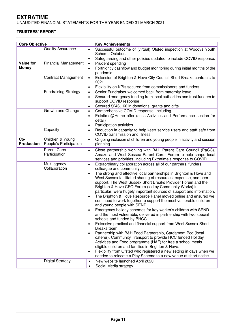UNAUDITED FINANCIAL STATEMENTS FOR THE YEAR ENDED 31 MARCH 2021

# **TRUSTEES' REPORT**

| <b>Core Objective</b>    |                                            | <b>Key Achievements</b>                                                                                                                                                                                                                                                                                                                                                                                                                                                                                                                                                                                                                                                                                                                                                                                                                                                                                                                                                                                                                                                                                                                                                                                                                                                                                                           |
|--------------------------|--------------------------------------------|-----------------------------------------------------------------------------------------------------------------------------------------------------------------------------------------------------------------------------------------------------------------------------------------------------------------------------------------------------------------------------------------------------------------------------------------------------------------------------------------------------------------------------------------------------------------------------------------------------------------------------------------------------------------------------------------------------------------------------------------------------------------------------------------------------------------------------------------------------------------------------------------------------------------------------------------------------------------------------------------------------------------------------------------------------------------------------------------------------------------------------------------------------------------------------------------------------------------------------------------------------------------------------------------------------------------------------------|
|                          | <b>Quality Assurance</b>                   | Successful outcome of (virtual) Ofsted inspection at Woodys Youth<br>$\bullet$<br>Scheme October.                                                                                                                                                                                                                                                                                                                                                                                                                                                                                                                                                                                                                                                                                                                                                                                                                                                                                                                                                                                                                                                                                                                                                                                                                                 |
|                          |                                            | Safeguarding and other policies updated to include COVID response.<br>$\bullet$                                                                                                                                                                                                                                                                                                                                                                                                                                                                                                                                                                                                                                                                                                                                                                                                                                                                                                                                                                                                                                                                                                                                                                                                                                                   |
| <b>Value for</b>         | <b>Financial Management</b>                | Prudent spending<br>$\bullet$                                                                                                                                                                                                                                                                                                                                                                                                                                                                                                                                                                                                                                                                                                                                                                                                                                                                                                                                                                                                                                                                                                                                                                                                                                                                                                     |
| <b>Money</b>             |                                            | Fortnightly cashflow and budget monitoring during initial months of the<br>$\bullet$<br>pandemic.                                                                                                                                                                                                                                                                                                                                                                                                                                                                                                                                                                                                                                                                                                                                                                                                                                                                                                                                                                                                                                                                                                                                                                                                                                 |
|                          | <b>Contract Management</b>                 | Extension of Brighton & Hove City Council Short Breaks contracts to<br>$\bullet$<br>2021                                                                                                                                                                                                                                                                                                                                                                                                                                                                                                                                                                                                                                                                                                                                                                                                                                                                                                                                                                                                                                                                                                                                                                                                                                          |
|                          |                                            | Flexibility on KPIs secured from commissioners and funders<br>$\bullet$                                                                                                                                                                                                                                                                                                                                                                                                                                                                                                                                                                                                                                                                                                                                                                                                                                                                                                                                                                                                                                                                                                                                                                                                                                                           |
|                          | <b>Fundraising Strategy</b>                | Senior Fundraiser welcomed back from maternity leave.<br>$\bullet$                                                                                                                                                                                                                                                                                                                                                                                                                                                                                                                                                                                                                                                                                                                                                                                                                                                                                                                                                                                                                                                                                                                                                                                                                                                                |
|                          |                                            | Secured emergency funding from local authorities and trust funders to<br>$\bullet$<br>support COVID response                                                                                                                                                                                                                                                                                                                                                                                                                                                                                                                                                                                                                                                                                                                                                                                                                                                                                                                                                                                                                                                                                                                                                                                                                      |
|                          |                                            | Secured £246,160 in donations, grants and gifts<br>$\bullet$                                                                                                                                                                                                                                                                                                                                                                                                                                                                                                                                                                                                                                                                                                                                                                                                                                                                                                                                                                                                                                                                                                                                                                                                                                                                      |
|                          | Growth and Change                          | Comprehensive COVID response, including<br>$\bullet$                                                                                                                                                                                                                                                                                                                                                                                                                                                                                                                                                                                                                                                                                                                                                                                                                                                                                                                                                                                                                                                                                                                                                                                                                                                                              |
|                          |                                            | Extatime@Home offer (sess Activities and Performance section for<br>$\bullet$<br>detail)                                                                                                                                                                                                                                                                                                                                                                                                                                                                                                                                                                                                                                                                                                                                                                                                                                                                                                                                                                                                                                                                                                                                                                                                                                          |
|                          |                                            | Participation activities<br>$\bullet$                                                                                                                                                                                                                                                                                                                                                                                                                                                                                                                                                                                                                                                                                                                                                                                                                                                                                                                                                                                                                                                                                                                                                                                                                                                                                             |
|                          | Capacity                                   | Reduction in capacity to help keep service users and staff safe from<br>$\bullet$<br>COVID transmission and illness.                                                                                                                                                                                                                                                                                                                                                                                                                                                                                                                                                                                                                                                                                                                                                                                                                                                                                                                                                                                                                                                                                                                                                                                                              |
| Co-<br><b>Production</b> | Children & Young<br>People's Participation | Ongoing inclusion of children and young people in activity and session<br>$\bullet$<br>planning                                                                                                                                                                                                                                                                                                                                                                                                                                                                                                                                                                                                                                                                                                                                                                                                                                                                                                                                                                                                                                                                                                                                                                                                                                   |
|                          | Parent Carer<br>Participation              | Close partnership working with B&H Parent Care Council (PaCC),<br>$\bullet$<br>Amaze and West Sussex Parent Carer Forum to help shape local<br>services and priorities, including Extratime's response to COVID                                                                                                                                                                                                                                                                                                                                                                                                                                                                                                                                                                                                                                                                                                                                                                                                                                                                                                                                                                                                                                                                                                                   |
|                          | Multi-agency<br>Collaboration              | Extraordinary collaboration across all of our partners, funders,<br>$\bullet$<br>colleague and community.<br>The strong and effective local partnerships in Brighton & Hove and<br>$\bullet$<br>West Sussex facilitated sharing of resources, expertise, and peer<br>support. The West Sussex Short Breaks Provider Forum and the<br>Brighton & Hove CEO Forum (led by Community Works) in<br>particular, were hugely important sources of support and information.<br>The Brighton & Hove Resource Panel moved online and ensured we<br>$\bullet$<br>continued to work together to support the most vulnerable children<br>and young people with SEND.<br>Emergency holiday schemes for key worker's children with SEND<br>and the most vulnerable, delivered in partnership with two special<br>schools and funded by BHCC<br>Extensive practical and financial support from West Sussex Short<br><b>Breaks</b> team<br>Partnership with B&H Food Partnership, Cardamom Pod (local<br>caterer), Community Transport to provide HCC funded Holiday<br>Activities and Food programme (HAF) for free a school meals<br>eligible children and families in Brighton & Hove.<br>Flexibility from Ofsted who registered a new setting in days when we<br>$\bullet$<br>needed to relocate a Play Scheme to a new venue at short notice. |
|                          | <b>Digital Strategy</b>                    | New website launched April 2020<br>$\bullet$<br>Social Media strategy                                                                                                                                                                                                                                                                                                                                                                                                                                                                                                                                                                                                                                                                                                                                                                                                                                                                                                                                                                                                                                                                                                                                                                                                                                                             |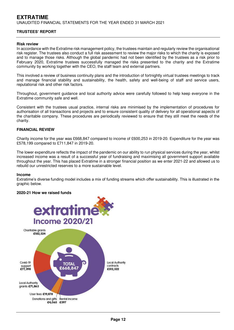# **EXTRATIME**  UNAUDITED FINANCIAL STATEMENTS FOR THE YEAR ENDED 31 MARCH 2021

# **TRUSTEES' REPORT**

#### **Risk review**

In accordance with the Extratime risk management policy, the trustees maintain and regularly review the organisational risk register. The trustees also conduct a full risk assessment to review the major risks to which the charity is exposed and to manage those risks. Although the global pandemic had not been identified by the trustees as a risk prior to February 2020, Extratime trustees successfully managed the risks presented to the charity and the Extratime community by working together with the CEO, the staff team and external partners.

This involved a review of business continuity plans and the introduction of fortnightly virtual trustees meetings to track and manage financial stability and sustainability, the health, safety and well-being of staff and service users, reputational risk and other risk factors.

Throughout, government guidance and local authority advice were carefully followed to help keep everyone in the Extratime community safe and well.

Consistent with the trustees usual practice, internal risks are minimised by the implementation of procedures for authorisation of all transactions and projects and to ensure consistent quality of delivery for all operational aspects of the charitable company. These procedures are periodically reviewed to ensure that they still meet the needs of the charity.

#### **FINANCIAL REVIEW**

Charity income for the year was £668,847 compared to income of £600,253 in 2019-20. Expenditure for the year was £578,199 compared to £711,847 in 2019-20.

The lower expenditure reflects the impact of the pandemic on our ability to run physical services during the year, whilst increased income was a result of a successful year of fundraising and maximising all government support available throughout the year. This has placed Extratime in a stronger financial position as we enter 2021-22 and allowed us to rebuild our unrestricted reserves to a more sustainable level.

#### **Income**

Extratime's diverse funding model includes a mix of funding streams which offer sustainability. This is illustrated in the graphic below.

#### **2020-21 How we raised funds**

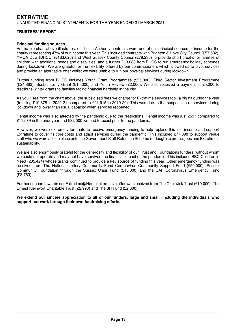# **EXTRATIME**  UNAUDITED FINANCIAL STATEMENTS FOR THE YEAR ENDED 31 MARCH 2021

### **TRUSTEES' REPORT**

#### **Principal funding sources**

As the pie chart above illustrates, our Local Authority contracts were one of our principal sources of income for the charity representing 47% of our income this year. This included contracts with Brighton & Hove City Council (£57,582), YMCA DLG (BHCC) (£163,623) and West Sussex County Council (£78,235) to provide short breaks for families of children with additional needs and disabilities, and a further £13,083 from BHCC to run emergency holiday schemes during lockdown. We are grateful for the flexibility offered by our commissioners which allowed us to pivot services and provide an alternative offer whilst we were unable to run our physical services during lockdown.

Further funding from BHCC includes Youth Grant Programmes (£25,000), Third Sector Investment Programme (£24,863), Sustainability Grant (£15,000) and Youth Review (£2,000). We also received a payment of £5,000 to distribute winter grants to families facing financial hardship in the city.

As you'll see from the chart above, the subsidised fees we charge for Extratime services took a big hit during the year (totalling £19,878 in 2020-21 compared to £91,915 in 2019-20). This was due to the suspension of services during lockdown and lower than usual capacity when services reopened.

Rental income was also affected by the pandemic due to the restrictions. Rental income was just £597 compared to £11,539 in the prior year and £32,000 we had forecast prior to the pandemic.

However, we were extremely fortunate to receive emergency funding to help replace this lost income and support Extratime to cover its core costs and adapt services during the pandemic. This included £77,398 to support venue staff who we were able to place onto the Government Staff Retention Scheme (furlough) to protect jobs and Extratime's sustainability.

We are also enormously grateful for the generosity and flexibility of our Trust and Foundations funders, without whom we could not operate and may not have survived the financial impact of the pandemic. This includes BBC Children in Need (£85,424) whose grants continued to provide a key source of funding this year. Other emergency funding was received from The National Lottery Community Fund Coronavirus Community Support Fund (£50,000), Sussex Community Foundation through the Sussex Crisis Fund (£15,000) and the CAF Coronavirus Emergency Fund (£3,760).

Further support towards our Extratime@Home, alternative offer was received from The Childwick Trust (£10,000), The Ernest Kleinwort Charitable Trust (£2,990) and The 3H Fund (£2,600).

**We extend our sincere appreciation to all of our funders, large and small, including the individuals who support our work through their own fundraising efforts.**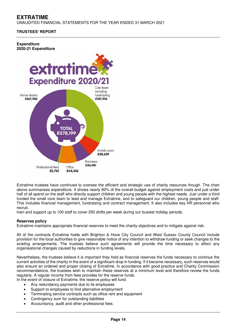UNAUDITED FINANCIAL STATEMENTS FOR THE YEAR ENDED 31 MARCH 2021

# **TRUSTEES' REPORT**

#### **Expenditure 2020-21 Expenditure**



Extratime trustees have continued to oversee the efficient and strategic use of charity resources though. The chart above summarises expenditure. It shows nearly 80% of the overall budget against employment costs and just under half of all spend on the staff who directly support children and young people with the highest needs. Just under a third funded the small core team to lead and manage Extratime, and to safeguard our children, young people and staff. This includes financial management, fundraising and contract management. It also includes key HR personnel who recruit,

train and support up to 100 staff to cover 250 shifts per week during our busiest holiday periods.

## **Reserves policy**

Extratime maintains appropriate financial reserves to meet the charity objectives and to mitigate against risk.

All of the contracts Extratime holds with Brighton & Hove City Council and West Sussex County Council include provision for the local authorities to give reasonable notice of any intention to withdraw funding or seek changes to the existing arrangements. The trustees believe such agreements will provide the time necessary to affect any organisational changes caused by reductions in funding levels.

Nevertheless, the trustees believe it is important they hold as financial reserves the funds necessary to continue the current activities of the charity in the event of a significant drop in funding. If it became necessary, such reserves would also ensure an ordered and proper closing of Extratime. In accordance with good practice and Charity Commission recommendations, the trustees wish to maintain these reserves at a minimum level and therefore review the funds regularly. A regular income from fees provides for the reserve funds.

- In the event of closure of Extratime, the reserve policy will fund:
	- Any redundancy payments due to its employees
	- Support to employees to find alternative employment
	- Terminating service contracts such as office rent and equipment
	- Contingency sum for outstanding liabilities
	- Accountancy, audit and other professional fees.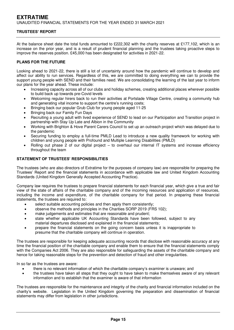At the balance sheet date the total funds amounted to £222,302 with the charity reserves at £177,102, which is an increase on the prior year, and is a result of prudent financial planning and the trustees taking proactive steps to improve the reserves position. £45,000 has been designated for activities in 2021-22.

# **PLANS FOR THE FUTURE**

Looking ahead to 2021-22, there is still a lot of uncertainty around how the pandemic will continue to develop and affect our ability to run services. Regardless of this, we are committed to doing everything we can to provide the support young people with SEND and their families need. We are consolidating the learning of the last year to inform our plans for the year ahead. These include:

- Increasing capacity across all of our clubs and holiday schemes, creating additional places wherever possible to build back up towards pre-Covid levels
- Welcoming regular hirers back to run their activities at Portslade Village Centre, creating a community hub and generating vital income to support the centre's running costs;
- Bringing back our popular Grub Club for young people aged 11-25
- Bringing back our Family Fun Days
- Recruiting a young adult with lived experience of SEND to lead on our Participation and Transition project in partnership with Stay Up Late and Albion in the Community
- Working with Brighton & Hove Parent Carers Council to set up an outreach project which was delayed due to the pandemic
- Securing funding to employ a full-time PMLD Lead to introduce a new quality framework for working with children and young people with Profound and Multiple Learning Disabilities (PMLD)
- Rolling out phase 2 of our digital project to overhaul our internal IT systems and increase efficiency throughout the team

## **STATEMENT OF TRUSTEES' RESPONSIBILITIES**

The trustees (who are also directors of Extratime for the purposes of company law) are responsible for preparing the Trustees' Report and the financial statements in accordance with applicable law and United Kingdom Accounting Standards (United Kingdom Generally Accepted Accounting Practice).

Company law requires the trustees to prepare financial statements for each financial year, which give a true and fair view of the state of affairs of the charitable company and of the incoming resources and application of resources, including the income and expenditure, of the charitable company for that period. In preparing these financial statements, the trustees are required to:

- select suitable accounting policies and then apply them consistently;
- observe the methods and principles in the Charities SORP 2019 (FRS 102);
- make judgements and estimates that are reasonable and prudent;
- state whether applicable UK Accounting Standards have been followed, subject to any material departures disclosed and explained in the financial statements;
- prepare the financial statements on the going concern basis unless it is inappropriate to presume that the charitable company will continue in operation.

The trustees are responsible for keeping adequate accounting records that disclose with reasonable accuracy at any time the financial position of the charitable company and enable them to ensure that the financial statements comply with the Companies Act 2006. They are also responsible for safeguarding the assets of the charitable company and hence for taking reasonable steps for the prevention and detection of fraud and other irregularities.

In so far as the trustees are aware:

- there is no relevant information of which the charitable company's examiner is unaware; and
- the trustees have taken all steps that they ought to have taken to make themselves aware of any relevant information and to establish that the examiner is aware of that information

The trustees are responsible for the maintenance and integrity of the charity and financial information included on the charity's website. Legislation in the United Kingdom governing the preparation and dissemination of financial statements may differ from legislation in other jurisdictions.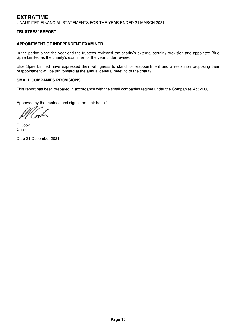## **APPOINTMENT OF INDEPENDENT EXAMINER**

In the period since the year end the trustees reviewed the charity's external scrutiny provision and appointed Blue Spire Limited as the charity's examiner for the year under review.

Blue Spire Limited have expressed their willingness to stand for reappointment and a resolution proposing their reappointment will be put forward at the annual general meeting of the charity.

# **SMALL COMPANIES PROVISIONS**

This report has been prepared in accordance with the small companies regime under the Companies Act 2006.

Approved by the trustees and signed on their behalf.

R Cook Chair

Date 21 December 2021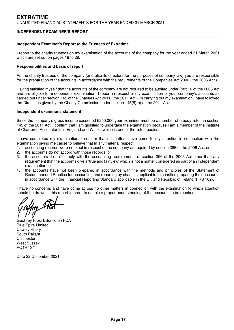## **INDEPENDENT EXAMINER'S REPORT**

#### **Independent Examiner's Report to the Trustees of Extratime**

I report to the charity trustees on my examination of the accounts of the company for the year ended 31 March 2021 which are set out on pages 18 to 29.

#### **Responsibilities and basis of report**

As the charity trustees of the company (and also its directors for the purposes of company law) you are responsible for the preparation of the accounts in accordance with the requirements of the Companies Act 2006 ('the 2006 Act').

Having satisfied myself that the accounts of the company are not required to be audited under Part 16 of the 2006 Act and are eligible for independent examination, I report in respect of my examination of your company's accounts as carried out under section 145 of the Charities Act 2011 ('the 2011 Act'). In carrying out my examination I have followed the Directions given by the Charity Commission under section 145(5)(b) of the 2011 Act.

#### **Independent examiner's statement**

Since the company's gross income exceeded £250,000 your examiner must be a member of a body listed in section 145 of the 2011 Act. I confirm that I am qualified to undertake the examination because I am a member of the Institute of Chartered Accountants in England and Wales, which is one of the listed bodies.

I have completed my examination. I confirm that no matters have come to my attention in connection with the examination giving me cause to believe that in any material respect:

- 1. accounting records were not kept in respect of the company as required by section 386 of the 2006 Act; or 2. the accounts do not accord with those records: or
- 2. the accounts do not accord with those records; or 3. the accounts do not comply with the accounting
- the accounts do not comply with the accounting requirements of section 396 of the 2006 Act other than any requirement that the accounts give a 'true and fair view' which is not a matter considered as part of an independent examination; or
- 4. the accounts have not been prepared in accordance with the methods and principles of the Statement of Recommended Practice for accounting and reporting by charities applicable to charities preparing their accounts in accordance with the Financial Reporting Standard applicable in the UK and Republic of Ireland (FRS 102).

I have no concerns and have come across no other matters in connection with the examination to which attention should be drawn in this report in order to enable a proper understanding of the accounts to be reached.

Geoffrey Frost BSc(Hons) FCA Blue Spire Limited Cawley Priory South Pallant **Chichester** West Sussex PO19 1SY

Date 22 December 2021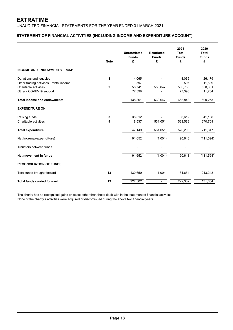UNAUDITED FINANCIAL STATEMENTS FOR THE YEAR ENDED 31 MARCH 2021

# **STATEMENT OF FINANCIAL ACTIVITIES (INCLUDING INCOME AND EXPENDITURE ACCOUNT)**

|                                          | <b>Note</b>             | <b>Unrestricted</b><br><b>Funds</b><br>£ | <b>Restricted</b><br><b>Funds</b><br>£ | 2021<br><b>Total</b><br><b>Funds</b><br>£ | 2020<br><b>Total</b><br><b>Funds</b><br>£ |
|------------------------------------------|-------------------------|------------------------------------------|----------------------------------------|-------------------------------------------|-------------------------------------------|
| <b>INCOME AND ENDOWMENTS FROM:</b>       |                         |                                          |                                        |                                           |                                           |
| Donations and legacies                   | 1                       | 4,065                                    |                                        | 4,065                                     | 26,179                                    |
| Other trading activities - rental income |                         | 597                                      |                                        | 597                                       | 11,539                                    |
| Charitable activities                    | $\overline{\mathbf{2}}$ | 56,741                                   | 530,047                                | 586,788                                   | 550,801                                   |
| Other - COVID-19 support                 |                         | 77,398                                   |                                        | 77,398                                    | 11,734                                    |
| <b>Total income and endowments</b>       |                         | 138,801                                  | 530,047                                | 668,848                                   | 600,253                                   |
| <b>EXPENDITURE ON:</b>                   |                         |                                          |                                        |                                           |                                           |
| Raising funds                            | 3                       | 38,612                                   |                                        | 38,612                                    | 41,138                                    |
| Charitable activities                    | 4                       | 8,537                                    | 531,051                                | 539,588                                   | 670,709                                   |
| <b>Total expenditure</b>                 |                         | 47,149                                   | 531,051                                | 578,200                                   | 711,847                                   |
| Net Income/(expenditure)                 |                         | 91,652                                   | (1,004)                                | 90,648                                    | (111, 594)                                |
| Transfers between funds                  |                         |                                          |                                        |                                           |                                           |
| Net movement in funds                    |                         | 91,652                                   | (1,004)                                | 90,648                                    | (111, 594)                                |
| <b>RECONCILIATION OF FUNDS</b>           |                         |                                          |                                        |                                           |                                           |
| Total funds brought forward              | 13                      | 130,650                                  | 1,004                                  | 131,654                                   | 243,248                                   |
| <b>Total funds carried forward</b>       | 13                      | 222,302                                  | $\overline{\phantom{0}}$               | 222,302                                   | 131,654                                   |

The charity has no recognised gains or losses other than those dealt with in the statement of financial activities. None of the charity's activities were acquired or discontinued during the above two financial years.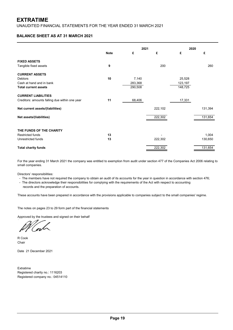UNAUDITED FINANCIAL STATEMENTS FOR THE YEAR ENDED 31 MARCH 2021

# **BALANCE SHEET AS AT 31 MARCH 2021**

|                                                |             |         | 2021    |         | 2020    |  |
|------------------------------------------------|-------------|---------|---------|---------|---------|--|
|                                                | <b>Note</b> | £       | £       | £       | £       |  |
| <b>FIXED ASSETS</b>                            |             |         |         |         |         |  |
| Tangible fixed assets                          | 9           |         | 200     |         | 260     |  |
| <b>CURRENT ASSETS</b>                          |             |         |         |         |         |  |
| <b>Debtors</b>                                 | 10          | 7,140   |         | 25,528  |         |  |
| Cash at hand and in bank                       |             | 283,368 |         | 123,197 |         |  |
| <b>Total current assets</b>                    |             | 290,508 |         | 148,725 |         |  |
| <b>CURRENT LIABILITIES</b>                     |             |         |         |         |         |  |
| Creditors: amounts falling due within one year | 11          | 68,406  |         | 17,331  |         |  |
| Net current assets/(liabilities)               |             |         | 222,102 |         | 131,394 |  |
| Net assets/(liabilities)                       |             |         | 222,302 |         | 131,654 |  |
|                                                |             |         |         |         |         |  |
| THE FUNDS OF THE CHARITY                       |             |         |         |         |         |  |
| <b>Restricted funds</b>                        | 13          |         |         |         | 1,004   |  |
| Unrestricted funds                             | 13          |         | 222,302 |         | 130,650 |  |
| <b>Total charity funds</b>                     |             |         | 222,302 |         | 131,654 |  |

For the year ending 31 March 2021 the company was entitled to exemption from audit under section 477 of the Companies Act 2006 relating to small companies.

Directors' responsibilities:

- The members have not required the company to obtain an audit of its accounts for the year in question in accordance with section 476;

 records and the preparation of accounts. - The directors acknowledge their responsibilities for complying with the requirements of the Act with respect to accounting

These accounts have been prepared in accordance with the provisions applicable to companies subject to the small companies' regime.

The notes on pages 23 to 29 form part of the financial statements

Approved by the trustees and signed on their behalf

R Cook Chair

Date 21 December 2021

Extratime Registered charity no.: 1116203 Registered company no.: 04514110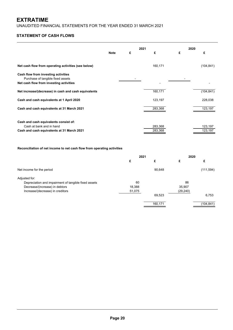UNAUDITED FINANCIAL STATEMENTS FOR THE YEAR ENDED 31 MARCH 2021

# **STATEMENT OF CASH FLOWS**

|                                                                              | <b>Note</b> | £ | 2021<br>£ | 2020<br>£ | £          |
|------------------------------------------------------------------------------|-------------|---|-----------|-----------|------------|
|                                                                              |             |   |           |           |            |
| Net cash flow from operating activities (see below)                          |             |   | 160,171   |           | (104, 841) |
| Cash flow from investing activities                                          |             |   |           |           |            |
| Purchase of tangible fixed assets<br>Net cash flow from investing activities |             |   |           |           |            |
| Net increase/(decrease) in cash and cash equivalents                         |             |   | 160,171   |           | (104, 841) |
| Cash and cash equivalents at 1 April 2020                                    |             |   | 123,197   |           | 228,038    |
| Cash and cash equivalents at 31 March 2021                                   |             |   | 283,368   |           | 123,197    |
|                                                                              |             |   |           |           |            |
| Cash and cash equivalents consist of:                                        |             |   |           |           |            |
| Cash at bank and in hand                                                     |             |   | 283,368   |           | 123,197    |
| Cash and cash equivalents at 31 March 2021                                   |             |   | 283,368   |           | 123,197    |

# **Reconciliation of net income to net cash flow from operating activities**

|                                                      | 2021   |         | 2020      |            |
|------------------------------------------------------|--------|---------|-----------|------------|
|                                                      | £      | £       | £         | £          |
| Net income for the period                            |        | 90,648  |           | (111, 594) |
| Adjusted for:                                        |        |         |           |            |
| Depreciation and impairment of tangible fixed assets | 60     |         | 86        |            |
| Decrease/(increase) in debtors                       | 18,388 |         | 35,907    |            |
| Increase/(decrease) in creditors                     | 51,075 |         | (29, 240) |            |
|                                                      |        | 69,523  |           | 6,753      |
|                                                      |        | 160,171 |           | (104, 841) |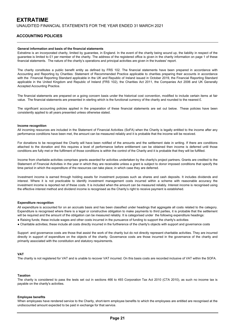## **ACCOUNTING POLICIES**

#### **General information and basis of the financial statements**

Extratime is an incorporated charity, limited by guarantee, in England. In the event of the charity being wound up, the liability in respect of the guarantee is limited to £1 per member of the charity. The address of the registered office is given in the charity information on page 1 of these financial statements. The nature of the charity's operations and principal activities are given in the trustees' report.

The charity constitutes a public benefit entity as defined by FRS 102. The financial statements have been prepared in accordance with Accounting and Reporting by Charities: Statement of Recommended Practice applicable to charities preparing their accounts in accordance with the Financial Reporting Standard applicable in the UK and Republic of Ireland issued in October 2019, the Financial Reporting Standard applicable in the United Kingdom and Republic of Ireland (FRS 102), the Charities Act 2011, the Companies Act 2006 and UK Generally Accepted Accounting Practice.

The financial statements are prepared on a going concern basis under the historical cost convention, modified to include certain items at fair value. The financial statements are presented in sterling which is the functional currency of the charity and rounded to the nearest £.

The significant accounting policies applied in the preparation of these financial statements are set out below. These policies have been consistently applied to all years presented unless otherwise stated.

#### **Income recognition**

All incoming resources are included in the Statement of Financial Activities (SoFA) when the Charity is legally entitled to the income after any performance conditions have been met, the amount can be measured reliably and it is probable that the income will be received.

For donations to be recognised the Charity will have been notified of the amounts and the settlement date in writing. If there are conditions attached to the donation and this requires a level of performance before entitlement can be obtained then income is deferred until those conditions are fully met or the fulfilment of those conditions is within the control of the Charity and it is probable that they will be fulfilled.

Income from charitable activities comprises grants awarded for activities undertaken by the charity's project partners. Grants are credited to the Statement of Financial Activities in the year in which they are receivable unless a grant is subject to donor imposed conditions that specify the time period in which the expenditure of the resources can take place; in which case they are deferred.

Investment income is earned through holding assets for investment purposes such as shares and cash deposits. It includes dividends and interest. Where it is not practicable to identify investment management costs incurred within a scheme with reasonable accuracy the investment income is reported net of these costs. It is included when the amount can be measured reliably. Interest income is recognised using the effective interest method and dividend income is recognised as the Charity's right to receive payment is established.

#### **Expenditure recognition**

All expenditure is accounted for on an accruals basis and has been classified under headings that aggregate all costs related to the category. Expenditure is recognised where there is a legal or constructive obligation to make payments to third parties, it is probable that the settlement will be required and the amount of the obligation can be measured reliably. It is categorised under the following expenditure headings:

- Raising funds; these include wages and other costs incurred in the pursuance of funding to support the charity's activities
- Charitable activities; these include all costs directly incurred in the furtherence of the charity's objects with support and governance costs

Support and governance costs are those that assist the work of the charity but do not directly represent charitable activities. They are incurred directly in support of expenditure on the objects of the charity. Governance costs are those incurred in the governance of the charity and primarily associated with the constitution and statutory requirements.

#### **VAT**

The charity is not registered for VAT and is unable to recover VAT incurred. On this basis costs are recorded inclusive of VAT within the SOFA.

#### **Taxation**

The charity is considered to pass the tests set out in sections 466 to 493 Corporation Tax Act 2010 (CTA 2010), as such no income tax is payable on the charity's activities.

#### **Employee benefits**

When employees have rendered service to the Charity, short-term employee benefits to which the employees are entitled are recognised at the undiscounted amount expected to be paid in exchange for that service.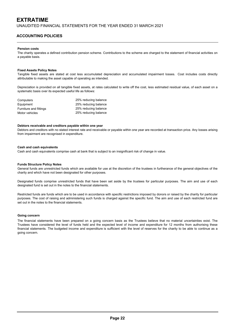UNAUDITED FINANCIAL STATEMENTS FOR THE YEAR ENDED 31 MARCH 2021

# **ACCOUNTING POLICIES**

#### **Pension costs**

The charity operates a defined contribution pension scheme. Contributions to the scheme are charged to the statement of financial activities on a payable basis.

#### **Fixed Assets Policy Notes**

Tangible fixed assets are stated at cost less accumulated depreciation and accumulated impairment losses. Cost includes costs directly attributable to making the asset capable of operating as intended.

Depreciation is provided on all tangible fixed assets, at rates calculated to write off the cost, less estimated residual value, of each asset on a systematic basis over its expected useful life as follows:

| Computers              | 25% reducing balance |
|------------------------|----------------------|
| Equipment              | 25% reducing balance |
| Furniture and fittings | 25% reducing balance |
| Motor vehicles         | 25% reducing balance |

#### **Debtors receivable and creditors payable within one year**

Debtors and creditors with no stated interest rate and receivable or payable within one year are recorded at transaction price. Any losses arising from impairment are recognised in expenditure.

#### **Cash and cash equivalents**

Cash and cash equivalents comprise cash at bank that is subject to an insignificant risk of change in value.

#### **Funds Structure Policy Notes**

General funds are unrestricted funds which are available for use at the discretion of the trustees in furtherance of the general objectives of the charity and which have not been designated for other purposes.

Designated funds comprise unrestricted funds that have been set aside by the trustees for particular purposes. The aim and use of each designated fund is set out in the notes to the financial statements.

Restricted funds are funds which are to be used in accordance with specific restrictions imposed by donors or raised by the charity for particular purposes. The cost of raising and administering such funds is charged against the specific fund. The aim and use of each restricted fund are set out in the notes to the financial statements.

#### **Going concern**

The financial statements have been prepared on a going concern basis as the Trustees believe that no material uncertainties exist. The Trustees have considered the level of funds held and the expected level of income and expenditure for 12 months from authorising these financial statements. The budgeted income and expenditure is sufficient with the level of reserves for the charity to be able to continue as a going concern.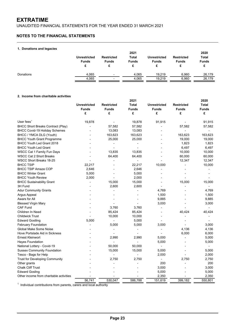UNAUDITED FINANCIAL STATEMENTS FOR THE YEAR ENDED 31 MARCH 2021

# **NOTES TO THE FINANCIAL STATEMENTS**

#### **1. Donations and legacies**

| .         | <b>Unrestricted</b><br><b>Funds</b> | <b>Restricted</b><br><b>Funds</b> | 2021<br>Total<br><b>Funds</b> | <b>Unrestricted</b><br>Funds | <b>Restricted</b><br><b>Funds</b> | 2020<br><b>Total</b><br><b>Funds</b> |
|-----------|-------------------------------------|-----------------------------------|-------------------------------|------------------------------|-----------------------------------|--------------------------------------|
| Donations | 4.065                               | $\overline{\phantom{0}}$          | 4.065                         | 19.219                       | 6,960                             | 26,179                               |
|           | 4,065                               | -                                 | 4.065                         | 19.219                       | 6,960                             | 26,179                               |

#### **2. Income from charitable activities**

|                                          | 2021                |                          |                |                          |                   | 2020           |  |
|------------------------------------------|---------------------|--------------------------|----------------|--------------------------|-------------------|----------------|--|
|                                          | <b>Unrestricted</b> | <b>Restricted</b>        | Total          | <b>Unrestricted</b>      | <b>Restricted</b> | Total          |  |
|                                          | <b>Funds</b>        | <b>Funds</b>             | <b>Funds</b>   | <b>Funds</b>             | <b>Funds</b>      | Funds          |  |
|                                          | £                   | £                        | £              | £                        | £                 | £              |  |
| User fees $1$                            | 19,878              |                          | 19,878         | 91,915                   |                   | 91,915         |  |
| <b>BHCC Short Breaks Contract (Play)</b> |                     | 57,582                   | 57,582         |                          | 57,582            | 57,582         |  |
| <b>BHCC Covid-19 Holiday Schemes</b>     |                     | 13,083                   | 13,083         |                          |                   | $\overline{a}$ |  |
| BHCC / YMCA DLG (Youth)                  |                     | 163,623                  | 163,623        |                          | 163,623           | 163,623        |  |
| <b>BHCC Youth Grant Programme</b>        |                     | 25,000                   | 25,000         |                          | 19,000            | 19,000         |  |
| <b>BHCC Youth Led Grant 2018</b>         |                     |                          |                |                          | 1,823             | 1,823          |  |
| <b>BHCC Youth Led Grant</b>              |                     |                          |                |                          | 6,497             | 6,497          |  |
| WSCC Cat 1 Family Fun Days               |                     | 13,835                   | 13,835         |                          | 10,000            | 10,000         |  |
| <b>WSCC Cat 2 Short Breaks</b>           |                     | 64,400                   | 64,400         |                          | 60,000            | 60,000         |  |
| WSCC Short Breaks 18-25                  |                     |                          | $\overline{a}$ |                          | 12,347            | 12,347         |  |
| <b>BHCC TSIP</b>                         | 22,217              |                          | 22,217         | 10,000                   |                   | 10,000         |  |
| <b>BHCC TSIP Amaze COP</b>               | 2,646               |                          | 2,646          |                          |                   |                |  |
| <b>BHCC Winter Grant</b>                 | 5,000               |                          | 5,000          |                          |                   |                |  |
| <b>BHCC Youth Review</b>                 | 2,000               |                          | 2,000          |                          |                   |                |  |
| <b>BHCC Sustainability Grant</b>         |                     | 15,000                   | 15,000         |                          | 15,000            | 15,000         |  |
| 3H Fund                                  |                     | 2,600                    | 2,600          |                          |                   |                |  |
| <b>Adur Community Grants</b>             |                     |                          |                | 4,769                    |                   | 4,769          |  |
| Argus Appeal                             |                     |                          |                | 1,500                    |                   | 1,500          |  |
| Awars for All                            |                     |                          |                | 9,885                    |                   | 9,885          |  |
| <b>Blessed Virgin Mary</b>               |                     |                          |                | 3,000                    |                   | 3,000          |  |
| <b>CAF Fund</b>                          |                     | 3,760                    | 3,760          | $\blacksquare$           |                   |                |  |
| Children In Need                         |                     | 85,424                   | 85,424         |                          | 40,424            | 40,424         |  |
| <b>Childwick Trust</b>                   |                     | 10,000                   | 10,000         |                          |                   |                |  |
| <b>Edward Gostling</b>                   | 5,000               |                          | 5,000          |                          |                   |                |  |
| <b>February Foundation</b>               |                     | 5,000                    | 5,000          | 3,000                    |                   | 3,000          |  |
| Global Make Some Noise                   |                     |                          |                |                          | 4,136             | 4,136          |  |
| Hove Portslade Aid in Sickness           |                     |                          |                |                          | 6,000             | 6,000          |  |
| <b>Ernest Kleinwort</b>                  |                     | 2,990                    | 2,990          | 5,000                    |                   | 5,000          |  |
| <b>Hayes Foundation</b>                  |                     | $\overline{\phantom{0}}$ |                | 5,000                    |                   | 5,000          |  |
| National Lottery - Covid-19              |                     | 50,000                   | 50,000         | $\overline{\phantom{a}}$ |                   |                |  |
| <b>Sussex Community Foundation</b>       |                     | 15,000                   | 15,000         | 5,000                    |                   | 5,000          |  |
| Tesco - Bags for Help                    |                     |                          |                | 2,000                    |                   | 2,000          |  |
| <b>Trust for Developing Community</b>    |                     | 2,750                    | 2,750          |                          | 2,750             | 2,750          |  |
| Other grants                             |                     |                          |                | 200                      |                   | 200            |  |
| <b>Chalk Cliff Trust</b>                 |                     |                          |                | 3,000                    |                   | 3,000          |  |
| <b>Edward Gosling</b>                    |                     |                          |                | 5,000                    |                   | 5,000          |  |
| Other income from charitable activities  |                     |                          |                | 2,350                    |                   | 2,350          |  |
|                                          | 56,741              | 530,047                  | 586,788        | 151,619                  | 399,182           | 550,801        |  |

<sup>1</sup> Individual contributions from parents, carers and local authority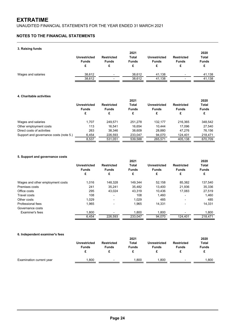UNAUDITED FINANCIAL STATEMENTS FOR THE YEAR ENDED 31 MARCH 2021

# **NOTES TO THE FINANCIAL STATEMENTS**

#### **3. Raising funds**

| . .                | <b>Unrestricted</b><br><b>Funds</b> | <b>Restricted</b><br><b>Funds</b> | 2021<br>Total<br><b>Funds</b> | <b>Unrestricted</b><br><b>Funds</b> | <b>Restricted</b><br><b>Funds</b> | 2020<br><b>Total</b><br><b>Funds</b> |
|--------------------|-------------------------------------|-----------------------------------|-------------------------------|-------------------------------------|-----------------------------------|--------------------------------------|
| Wages and salaries | 38.612                              | $\overline{\phantom{0}}$          | 38.612                        | 41.138                              | $\overline{\phantom{0}}$          | 41,138                               |
|                    | 38,612                              | ٠                                 | 38.612                        | 41.138                              |                                   | 41,138                               |

#### **4. Charitable activities**

|                                        | 2021                              |                   |              |                     |                   | 2020         |
|----------------------------------------|-----------------------------------|-------------------|--------------|---------------------|-------------------|--------------|
|                                        | Unrestricted<br><b>Funds</b><br>£ | <b>Restricted</b> | Total        | <b>Unrestricted</b> | <b>Restricted</b> | Total        |
|                                        |                                   | <b>Funds</b>      | <b>Funds</b> | <b>Funds</b>        | <b>Funds</b>      | <b>Funds</b> |
|                                        |                                   | £                 | £            | £                   | £                 | £            |
| Wages and salaries                     | 1.707                             | 249.571           | 251.278      | 132.177             | 216.365           | 348,542      |
| Other employment costs                 | 113                               | 16.541            | 16.654       | 10.444              | 17.096            | 27,540       |
| Direct costs of activities             | 263                               | 38.346            | 38.609       | 28,880              | 47.276            | 76.156       |
| Support and governance costs (note 5.) | 6.454                             | 226.593           | 233.047      | 94.070              | 124.401           | 218,471      |
|                                        | 8.537                             | 531.051           | 539.588      | 265.571             | 405.138           | 670.709      |

#### **5. Support and governance costs**

|                                  | 2021                |                          |              |                     |                          | 2020         |  |  |
|----------------------------------|---------------------|--------------------------|--------------|---------------------|--------------------------|--------------|--|--|
|                                  | <b>Unrestricted</b> | <b>Restricted</b>        | Total        | <b>Unrestricted</b> | <b>Restricted</b>        | Total        |  |  |
|                                  | <b>Funds</b>        | <b>Funds</b>             | <b>Funds</b> | <b>Funds</b>        | <b>Funds</b>             | <b>Funds</b> |  |  |
|                                  | £                   | £                        | £            | £                   | £                        | £            |  |  |
| Wages and other employment costs | 1.016               | 148.328                  | 149.344      | 52.158              | 85,382                   | 137,540      |  |  |
| Premises costs                   | 241                 | 35.241                   | 35.482       | 13.400              | 21.936                   | 35,336       |  |  |
| Office costs                     | 295                 | 43.024                   | 43.319       | 10.436              | 17,083                   | 27,519       |  |  |
| Travel costs                     | 108                 | $\blacksquare$           | 108          | 1,460               | $\blacksquare$           | 1,460        |  |  |
| Other costs                      | 1.029               | -                        | 1.029        | 485                 | ٠                        | 485          |  |  |
| Professional fees                | 1.965               | $\overline{\phantom{0}}$ | 1.965        | 14.331              | $\blacksquare$           | 14,331       |  |  |
| Governance costs                 |                     |                          |              |                     |                          |              |  |  |
| Examiner's fees                  | 1.800               |                          | 1,800        | 1,800               | $\overline{\phantom{0}}$ | 1,800        |  |  |
|                                  | 6.454               | 226,593                  | 233.047      | 94,070              | 124.401                  | 218.471      |  |  |

#### **6. Independent examiner's fees**

|                          |                     | 2021                     |                              |                     |                   | 2020         |  |
|--------------------------|---------------------|--------------------------|------------------------------|---------------------|-------------------|--------------|--|
|                          | <b>Unrestricted</b> | <b>Restricted</b>        | <b>Total</b><br><b>Funds</b> | <b>Unrestricted</b> | <b>Restricted</b> | <b>Total</b> |  |
|                          | <b>Funds</b>        | <b>Funds</b>             |                              | <b>Funds</b>        | <b>Funds</b>      | <b>Funds</b> |  |
|                          |                     |                          |                              |                     |                   |              |  |
| Examination current year | .800                | $\overline{\phantom{a}}$ | .800                         | .800                | $\sim$            | .800         |  |
|                          |                     |                          |                              |                     |                   |              |  |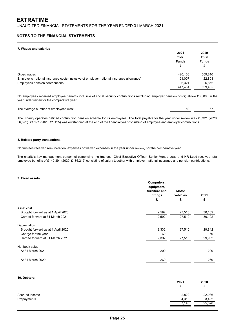#### **NOTES TO THE FINANCIAL STATEMENTS**

#### **7. Wages and salaries**

| r. magoo ana oalanoo                                                                     | 2021<br><b>Total</b><br><b>Funds</b><br>£ | 2020<br>Total<br><b>Funds</b><br>£ |
|------------------------------------------------------------------------------------------|-------------------------------------------|------------------------------------|
| Gross wages                                                                              | 420.153                                   | 509,810                            |
| Employer's national insurance costs (inclusive of employer national insurance allowance) | 21.007                                    | 22,803                             |
| Employer's pension contributions                                                         | 6,321                                     | 6,872                              |
|                                                                                          | 447.481                                   | 539,485                            |

No employees received employee benefits inclusive of social security contributions (excluding employer pension costs) above £60,000 in the year under review or the comparative year.

The average number of employees was: 67 50

The charity operates defined contribution pension scheme for its employees. The total payable for the year under review was £6,321 (2020: £6,872). £1,171 (2020: £1,125) was outstanding at the end of the financial year consisting of employee and employer contributions.

#### **8. Related party transactions**

No trustees received remuneration, expenses or waived expenses in the year under review, nor the comparative year.

The charity's key management personnel comprising the trustees, Chief Executive Officer, Senior Venue Lead and HR Lead received total employee benefits of £142,894 (2020: £136,212) consisting of salary together with employer national insurance and pension contributions.

#### **9. Fixed assets**

|                                    | Computers,<br>equipment,<br>furniture and<br>fittings<br>£ | Motor<br>vehicles<br>£ | 2021<br>£ |
|------------------------------------|------------------------------------------------------------|------------------------|-----------|
| Asset cost                         |                                                            |                        |           |
| Brought forward as at 1 April 2020 | 2,592                                                      | 27,510                 | 30,102    |
| Carried forward at 31 March 2021   | 2,592                                                      | 27,510                 | 30,102    |
| Depreciation                       |                                                            |                        |           |
| Brought forward as at 1 April 2020 | 2,332                                                      | 27,510                 | 29,842    |
| Charge for the year                | 60                                                         |                        | 60        |
| Carried forward at 31 March 2021   | 2,392                                                      | 27,510                 | 29,902    |
| Net book value                     |                                                            |                        |           |
| At 31 March 2021                   | 200                                                        |                        | 200       |
| At 31 March 2020                   | 260                                                        |                        | 260       |

#### **10. Debtors**

|                | 2021  | 2020    |
|----------------|-------|---------|
|                | c     | c<br>۰. |
| Accrued income | 2,822 | 22,036  |
| Prepayments    | 4,318 | 3,492   |
|                | 7,140 | 25,528  |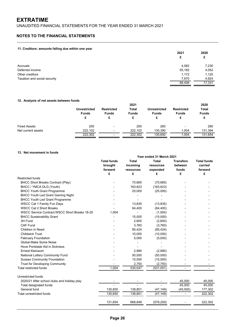UNAUDITED FINANCIAL STATEMENTS FOR THE YEAR ENDED 31 MARCH 2021

# **NOTES TO THE FINANCIAL STATEMENTS**

#### **11. Creditors: amounts falling due within one year**

| -                            | 2021<br>£ | 2020<br>£ |
|------------------------------|-----------|-----------|
| Accruals                     | 4,082     | 7,230     |
| Deferred income              | 55,182    | 4,052     |
| Other creditors              | 1,172     | 1,125     |
| Taxation and social security | 7,970     | 4,924     |
|                              | 68,406    | 17,331    |

#### **12. Analysis of net assets between funds**

|                     |                                     | 2021                                   |                              |                                     |                                   | 2020                         |
|---------------------|-------------------------------------|----------------------------------------|------------------------------|-------------------------------------|-----------------------------------|------------------------------|
|                     | <b>Unrestricted</b><br><b>Funds</b> | <b>Restricted</b><br><b>Funds</b><br>£ | <b>Total</b><br><b>Funds</b> | <b>Unrestricted</b><br><b>Funds</b> | <b>Restricted</b><br><b>Funds</b> | <b>Total</b><br><b>Funds</b> |
|                     | £                                   |                                        |                              |                                     |                                   |                              |
| <b>Fixed Assets</b> | 200                                 | $\overline{\phantom{a}}$               | 200                          | 260                                 | $\overline{\phantom{0}}$          | 260                          |
| Net current assets  | 222.102                             | $\overline{\phantom{a}}$               | 222.102                      | 130.390                             | 1.004                             | 131,394                      |
|                     | 222,302                             | -                                      | 222,302                      | 130.650                             | 1.004                             | 131,654                      |

#### **13. Net movement in funds**

|                                                | Year ended 31 March 2021                 |                                       |                                       |                                      |                                          |  |
|------------------------------------------------|------------------------------------------|---------------------------------------|---------------------------------------|--------------------------------------|------------------------------------------|--|
|                                                | <b>Total funds</b><br>brought<br>forward | <b>Total</b><br>incoming<br>resources | <b>Total</b><br>resources<br>expended | <b>Transfers</b><br>between<br>funds | <b>Total funds</b><br>carried<br>forward |  |
|                                                | £                                        | £                                     | £                                     | £                                    | £                                        |  |
| <b>Restricted funds</b>                        |                                          |                                       |                                       |                                      |                                          |  |
| <b>BHCC Short Breaks Contract (Play)</b>       |                                          | 70,665                                | (70, 665)                             |                                      |                                          |  |
| BHCC / YMCA DLG (Youth)                        |                                          | 163,623                               | (163, 623)                            |                                      |                                          |  |
| <b>BHCC Youth Grant Programme</b>              |                                          | 25,000                                | (25,000)                              |                                      |                                          |  |
| <b>BHCC Youth Led Grant Gaming Night</b>       |                                          |                                       |                                       |                                      |                                          |  |
| <b>BHCC Youth Led Grant Programme</b>          |                                          |                                       |                                       |                                      |                                          |  |
| WSCC Cat 1 Family Fun Days                     |                                          | 13.835                                | (13, 835)                             |                                      |                                          |  |
| <b>WSCC Cat 2 Short Breaks</b>                 |                                          | 64,400                                | (64, 400)                             |                                      |                                          |  |
| WSCC Service Contract: WSCC Short Breaks 18-25 | 1.004                                    | $\overline{\phantom{0}}$              | (1,004)                               |                                      |                                          |  |
| <b>BHCC Sustainability Grant</b>               |                                          | 15,000                                | (15,000)                              |                                      |                                          |  |
| 3H Fund                                        |                                          | 2,600                                 | (2,600)                               |                                      |                                          |  |
| CAF Fund                                       |                                          | 3,760                                 | (3,760)                               |                                      |                                          |  |
| Children In Need                               |                                          | 85,424                                | (85, 424)                             |                                      |                                          |  |
| <b>Childwick Trust</b>                         |                                          | 10,000                                | (10,000)                              |                                      |                                          |  |
| <b>February Foundation</b>                     |                                          | 5,000                                 | (5,000)                               |                                      |                                          |  |
| Global Make Some Noise                         |                                          |                                       |                                       |                                      |                                          |  |
| Hove Portslade Aid in Sickness                 |                                          |                                       |                                       |                                      |                                          |  |
| <b>Ernest Kleinwort</b>                        |                                          | 2,990                                 | (2,990)                               |                                      |                                          |  |
| National Lottery Community Fund                |                                          | 50,000                                | (50,000)                              |                                      |                                          |  |
| <b>Sussex Community Foundation</b>             |                                          | 15,000                                | (15,000)                              |                                      |                                          |  |
| <b>Trust for Developing Community</b>          |                                          | 2,750                                 | (2,750)                               |                                      |                                          |  |
| <b>Total restricted funds</b>                  | 1,004                                    | 530,047                               | (531,051)                             | $\overline{a}$                       |                                          |  |
| Unrestricted funds                             |                                          |                                       |                                       |                                      |                                          |  |
| 2020/21 After school clubs and holiday play    |                                          |                                       |                                       | 45,000                               | 45,000                                   |  |
| Total designated funds                         |                                          |                                       |                                       | 45,000                               | 45,000                                   |  |
| General fund                                   | 130,650                                  | 138,801                               | (47, 149)                             | (45,000)                             | 177,302                                  |  |
| <b>Total unrestricted funds</b>                | 130,650                                  | 138,801                               | (47, 149)                             |                                      | 222,302                                  |  |
|                                                | 131,654                                  | 668,848                               | (578, 200)                            |                                      | 222,302                                  |  |
|                                                |                                          |                                       |                                       |                                      |                                          |  |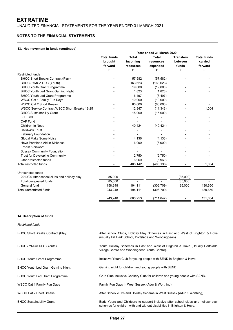UNAUDITED FINANCIAL STATEMENTS FOR THE YEAR ENDED 31 MARCH 2021

### **NOTES TO THE FINANCIAL STATEMENTS**

#### **13. Net movement in funds (continued)**

|                                                | Year ended 31 March 2020                 |                                       |                                       |                                      |                                          |  |
|------------------------------------------------|------------------------------------------|---------------------------------------|---------------------------------------|--------------------------------------|------------------------------------------|--|
|                                                | <b>Total funds</b><br>brought<br>forward | <b>Total</b><br>incoming<br>resources | <b>Total</b><br>resources<br>expended | <b>Transfers</b><br>between<br>funds | <b>Total funds</b><br>carried<br>forward |  |
|                                                | £                                        | £                                     | £                                     | £                                    | £                                        |  |
| <b>Restricted funds</b>                        |                                          |                                       |                                       |                                      |                                          |  |
| <b>BHCC Short Breaks Contract (Play)</b>       |                                          | 57,582                                | (57, 582)                             |                                      |                                          |  |
| BHCC / YMCA DLG (Youth)                        |                                          | 163,623                               | (163, 623)                            |                                      |                                          |  |
| <b>BHCC Youth Grant Programme</b>              |                                          | 19,000                                | (19,000)                              |                                      |                                          |  |
| <b>BHCC Youth Led Grant Gaming Night</b>       |                                          | 1,823                                 | (1,823)                               |                                      |                                          |  |
| <b>BHCC Youth Led Grant Programme</b>          |                                          | 6,497                                 | (6, 497)                              |                                      |                                          |  |
| WSCC Cat 1 Family Fun Days                     |                                          | 10,000                                | (10,000)                              |                                      |                                          |  |
| <b>WSCC Cat 2 Short Breaks</b>                 |                                          | 60,000                                | (60,000)                              |                                      |                                          |  |
| WSCC Service Contract: WSCC Short Breaks 18-25 |                                          | 12,347                                | (11, 343)                             |                                      | 1,004                                    |  |
| <b>BHCC Sustainability Grant</b>               |                                          | 15,000                                | (15,000)                              |                                      |                                          |  |
| 3H Fund                                        |                                          |                                       |                                       |                                      |                                          |  |
| CAF Fund                                       |                                          |                                       |                                       |                                      |                                          |  |
| Children In Need                               |                                          | 40,424                                | (40, 424)                             |                                      |                                          |  |
| <b>Childwick Trust</b>                         |                                          |                                       |                                       |                                      |                                          |  |
| <b>February Foundation</b>                     |                                          |                                       |                                       |                                      |                                          |  |
| Global Make Some Noise                         |                                          | 4,136                                 | (4, 136)                              |                                      |                                          |  |
| Hove Portslade Aid in Sickness                 |                                          | 6,000                                 | (6,000)                               |                                      |                                          |  |
| <b>Ernest Kleinwort</b>                        |                                          |                                       |                                       |                                      |                                          |  |
| <b>Sussex Community Foundation</b>             |                                          |                                       |                                       |                                      |                                          |  |
| <b>Trust for Developing Community</b>          |                                          | 2,750                                 | (2,750)                               |                                      |                                          |  |
| Other restricted funds                         |                                          | 6,960                                 | (6,960)                               |                                      |                                          |  |
| Total restricted funds                         |                                          | 406,142                               | (405, 138)                            |                                      | 1.004                                    |  |
| Unrestricted funds                             |                                          |                                       |                                       |                                      |                                          |  |
| 2019/20 After school clubs and holiday play    | 85,000                                   |                                       |                                       | (85,000)                             |                                          |  |
| Total designated funds                         | 85,000                                   |                                       |                                       | (85,000)                             |                                          |  |
| General fund                                   | 158,248                                  | 194,111                               | (306, 709)                            | 85,000                               | 130,650                                  |  |
| Total unrestricted funds                       | 243,248                                  | 194,111                               | (306, 709)                            |                                      | 130,650                                  |  |
|                                                | 243,248                                  | 600,253                               | (711, 847)                            |                                      | 131,654                                  |  |

#### **14. Description of funds**

*Restricted funds*

BHCC Short Breaks Contract (Play)

BHCC / YMCA DLG (Youth)

BHCC Youth Grant Programme

BHCC Youth Led Grant Gaming Night

BHCC Youth Led Grant Programme

WSCC Cat 1 Family Fun Days

WSCC Cat 2 Short Breaks

BHCC Sustainability Grant

After school Clubs, Holiday Play Schemes in East and West of Brighton & Hove (usually Hill Park School, Portslade and Woodingdean).

Youth Holiday Schemes in East and West of Brighton & Hove (Usually Portslade Village Centre and Woodingdean Youth Centre).

Inclusive Youth Club for young people with SEND in Brighton & Hove.

Gaming night for children and young people with SEND.

Grub Club Inclusive Cookery Club for children and young people with SEND.

Family Fun Days in West Sussex (Adur & Worthing).

After School clubs and Holiday Scheme in West Sussex (Adur & Worthing).

Early Years and Childcare to support inclusive after school clubs and holiday play schemes for children with and without disabilities in Brighton & Hove.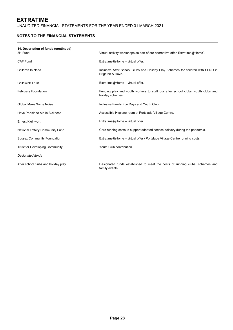UNAUDITED FINANCIAL STATEMENTS FOR THE YEAR ENDED 31 MARCH 2021

# **NOTES TO THE FINANCIAL STATEMENTS**

| 14. Description of funds (continued)<br>3H Fund | Virtual activity workshops as part of our alternative offer 'Extratime@Home'.                       |
|-------------------------------------------------|-----------------------------------------------------------------------------------------------------|
| <b>CAF Fund</b>                                 | Extratime@Home - virtual offer.                                                                     |
| Children In Need                                | Inclusive After School Clubs and Holiday Play Schemes for children with SEND in<br>Brighton & Hove. |
| <b>Childwick Trust</b>                          | Extratime@Home - virtual offer.                                                                     |
| <b>February Foundation</b>                      | Funding play and youth workers to staff our after school clubs, youth clubs and<br>holiday schemes  |
| Global Make Some Noise                          | Inclusive Family Fun Days and Youth Club.                                                           |
| Hove Portslade Aid in Sickness                  | Accessible Hygiene room at Portslade Village Centre.                                                |
| <b>Ernest Kleinwort</b>                         | Extratime@Home - virtual offer.                                                                     |
| National Lottery Community Fund                 | Core running costs to support adapted service delivery during the pandemic.                         |
| <b>Sussex Community Foundation</b>              | Extratime@Home – virtual offer / Portslade Village Centre running costs.                            |
| <b>Trust for Developing Community</b>           | Youth Club contribution.                                                                            |
| Designated funds                                |                                                                                                     |
| After school clubs and holiday play             | Designated funds established to meet the costs of running clubs, schemes and<br>family events.      |